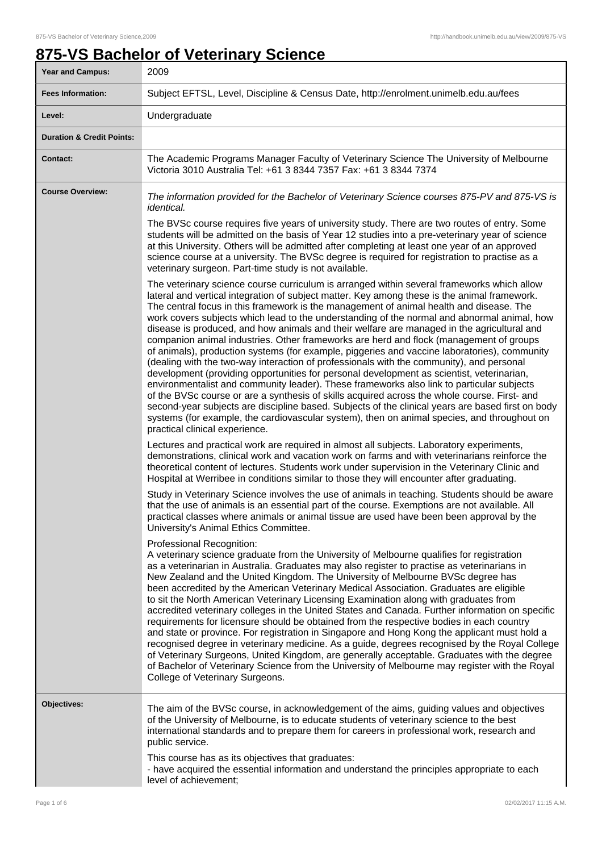# **875-VS Bachelor of Veterinary Science**

| Year and Campus:                     | 2009                                                                                                                                                                                                                                                                                                                                                                                                                                                                                                                                                                                                                                                                                                                                                                                                                                                                                                                                                                                                                                                                                                                                                                                                                                                                                                     |
|--------------------------------------|----------------------------------------------------------------------------------------------------------------------------------------------------------------------------------------------------------------------------------------------------------------------------------------------------------------------------------------------------------------------------------------------------------------------------------------------------------------------------------------------------------------------------------------------------------------------------------------------------------------------------------------------------------------------------------------------------------------------------------------------------------------------------------------------------------------------------------------------------------------------------------------------------------------------------------------------------------------------------------------------------------------------------------------------------------------------------------------------------------------------------------------------------------------------------------------------------------------------------------------------------------------------------------------------------------|
| <b>Fees Information:</b>             | Subject EFTSL, Level, Discipline & Census Date, http://enrolment.unimelb.edu.au/fees                                                                                                                                                                                                                                                                                                                                                                                                                                                                                                                                                                                                                                                                                                                                                                                                                                                                                                                                                                                                                                                                                                                                                                                                                     |
| Level:                               | Undergraduate                                                                                                                                                                                                                                                                                                                                                                                                                                                                                                                                                                                                                                                                                                                                                                                                                                                                                                                                                                                                                                                                                                                                                                                                                                                                                            |
| <b>Duration &amp; Credit Points:</b> |                                                                                                                                                                                                                                                                                                                                                                                                                                                                                                                                                                                                                                                                                                                                                                                                                                                                                                                                                                                                                                                                                                                                                                                                                                                                                                          |
| <b>Contact:</b>                      | The Academic Programs Manager Faculty of Veterinary Science The University of Melbourne<br>Victoria 3010 Australia Tel: +61 3 8344 7357 Fax: +61 3 8344 7374                                                                                                                                                                                                                                                                                                                                                                                                                                                                                                                                                                                                                                                                                                                                                                                                                                                                                                                                                                                                                                                                                                                                             |
| <b>Course Overview:</b>              | The information provided for the Bachelor of Veterinary Science courses 875-PV and 875-VS is<br><i>identical.</i>                                                                                                                                                                                                                                                                                                                                                                                                                                                                                                                                                                                                                                                                                                                                                                                                                                                                                                                                                                                                                                                                                                                                                                                        |
|                                      | The BVSc course requires five years of university study. There are two routes of entry. Some<br>students will be admitted on the basis of Year 12 studies into a pre-veterinary year of science<br>at this University. Others will be admitted after completing at least one year of an approved<br>science course at a university. The BVSc degree is required for registration to practise as a<br>veterinary surgeon. Part-time study is not available.                                                                                                                                                                                                                                                                                                                                                                                                                                                                                                                                                                                                                                                                                                                                                                                                                                               |
|                                      | The veterinary science course curriculum is arranged within several frameworks which allow<br>lateral and vertical integration of subject matter. Key among these is the animal framework.<br>The central focus in this framework is the management of animal health and disease. The<br>work covers subjects which lead to the understanding of the normal and abnormal animal, how<br>disease is produced, and how animals and their welfare are managed in the agricultural and<br>companion animal industries. Other frameworks are herd and flock (management of groups<br>of animals), production systems (for example, piggeries and vaccine laboratories), community<br>(dealing with the two-way interaction of professionals with the community), and personal<br>development (providing opportunities for personal development as scientist, veterinarian,<br>environmentalist and community leader). These frameworks also link to particular subjects<br>of the BVSc course or are a synthesis of skills acquired across the whole course. First- and<br>second-year subjects are discipline based. Subjects of the clinical years are based first on body<br>systems (for example, the cardiovascular system), then on animal species, and throughout on<br>practical clinical experience. |
|                                      | Lectures and practical work are required in almost all subjects. Laboratory experiments,<br>demonstrations, clinical work and vacation work on farms and with veterinarians reinforce the<br>theoretical content of lectures. Students work under supervision in the Veterinary Clinic and<br>Hospital at Werribee in conditions similar to those they will encounter after graduating.                                                                                                                                                                                                                                                                                                                                                                                                                                                                                                                                                                                                                                                                                                                                                                                                                                                                                                                  |
|                                      | Study in Veterinary Science involves the use of animals in teaching. Students should be aware<br>that the use of animals is an essential part of the course. Exemptions are not available. All<br>practical classes where animals or animal tissue are used have been been approval by the<br>University's Animal Ethics Committee.                                                                                                                                                                                                                                                                                                                                                                                                                                                                                                                                                                                                                                                                                                                                                                                                                                                                                                                                                                      |
|                                      | Professional Recognition:<br>A veterinary science graduate from the University of Melbourne qualifies for registration<br>as a veterinarian in Australia. Graduates may also register to practise as veterinarians in<br>New Zealand and the United Kingdom. The University of Melbourne BVSc degree has<br>been accredited by the American Veterinary Medical Association. Graduates are eligible<br>to sit the North American Veterinary Licensing Examination along with graduates from<br>accredited veterinary colleges in the United States and Canada. Further information on specific<br>requirements for licensure should be obtained from the respective bodies in each country<br>and state or province. For registration in Singapore and Hong Kong the applicant must hold a<br>recognised degree in veterinary medicine. As a guide, degrees recognised by the Royal College<br>of Veterinary Surgeons, United Kingdom, are generally acceptable. Graduates with the degree<br>of Bachelor of Veterinary Science from the University of Melbourne may register with the Royal<br>College of Veterinary Surgeons.                                                                                                                                                                           |
| Objectives:                          | The aim of the BVSc course, in acknowledgement of the aims, guiding values and objectives<br>of the University of Melbourne, is to educate students of veterinary science to the best<br>international standards and to prepare them for careers in professional work, research and<br>public service.<br>This course has as its objectives that graduates:                                                                                                                                                                                                                                                                                                                                                                                                                                                                                                                                                                                                                                                                                                                                                                                                                                                                                                                                              |
|                                      | - have acquired the essential information and understand the principles appropriate to each<br>level of achievement;                                                                                                                                                                                                                                                                                                                                                                                                                                                                                                                                                                                                                                                                                                                                                                                                                                                                                                                                                                                                                                                                                                                                                                                     |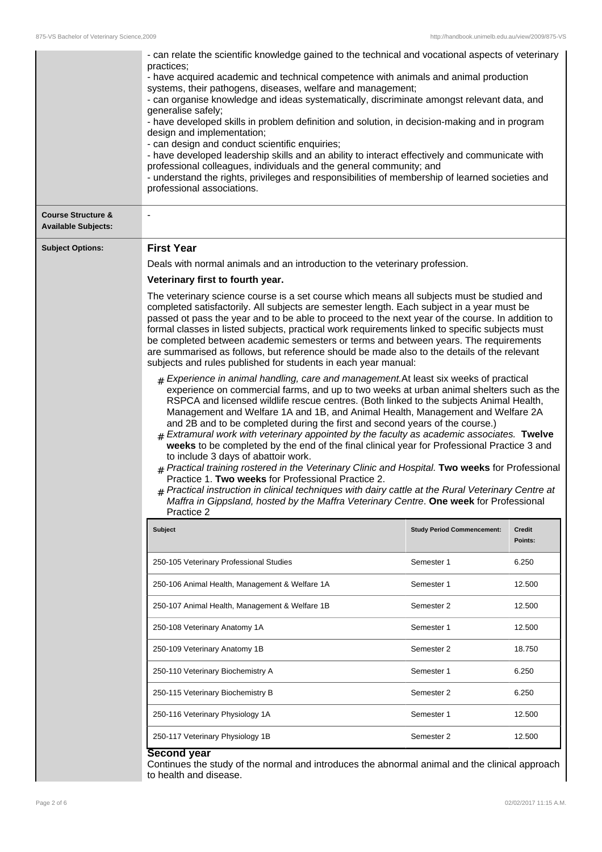|                                                             | - can relate the scientific knowledge gained to the technical and vocational aspects of veterinary<br>practices;<br>- have acquired academic and technical competence with animals and animal production<br>systems, their pathogens, diseases, welfare and management;<br>- can organise knowledge and ideas systematically, discriminate amongst relevant data, and<br>generalise safely;<br>- have developed skills in problem definition and solution, in decision-making and in program<br>design and implementation;<br>- can design and conduct scientific enquiries;<br>- have developed leadership skills and an ability to interact effectively and communicate with<br>professional colleagues, individuals and the general community; and<br>- understand the rights, privileges and responsibilities of membership of learned societies and<br>professional associations.                                                                                                                                                                                                                                                                                                                                                                                                                                                                                                                                                                                                                                                                                                                                                                                                                                                                                                                                                                             |                                   |                          |
|-------------------------------------------------------------|--------------------------------------------------------------------------------------------------------------------------------------------------------------------------------------------------------------------------------------------------------------------------------------------------------------------------------------------------------------------------------------------------------------------------------------------------------------------------------------------------------------------------------------------------------------------------------------------------------------------------------------------------------------------------------------------------------------------------------------------------------------------------------------------------------------------------------------------------------------------------------------------------------------------------------------------------------------------------------------------------------------------------------------------------------------------------------------------------------------------------------------------------------------------------------------------------------------------------------------------------------------------------------------------------------------------------------------------------------------------------------------------------------------------------------------------------------------------------------------------------------------------------------------------------------------------------------------------------------------------------------------------------------------------------------------------------------------------------------------------------------------------------------------------------------------------------------------------------------------------|-----------------------------------|--------------------------|
| <b>Course Structure &amp;</b><br><b>Available Subjects:</b> |                                                                                                                                                                                                                                                                                                                                                                                                                                                                                                                                                                                                                                                                                                                                                                                                                                                                                                                                                                                                                                                                                                                                                                                                                                                                                                                                                                                                                                                                                                                                                                                                                                                                                                                                                                                                                                                                    |                                   |                          |
| <b>Subject Options:</b>                                     | <b>First Year</b><br>Deals with normal animals and an introduction to the veterinary profession.<br>Veterinary first to fourth year.<br>The veterinary science course is a set course which means all subjects must be studied and<br>completed satisfactorily. All subjects are semester length. Each subject in a year must be<br>passed ot pass the year and to be able to proceed to the next year of the course. In addition to<br>formal classes in listed subjects, practical work requirements linked to specific subjects must<br>be completed between academic semesters or terms and between years. The requirements<br>are summarised as follows, but reference should be made also to the details of the relevant<br>subjects and rules published for students in each year manual:<br>$#$ Experience in animal handling, care and management. At least six weeks of practical<br>experience on commercial farms, and up to two weeks at urban animal shelters such as the<br>RSPCA and licensed wildlife rescue centres. (Both linked to the subjects Animal Health,<br>Management and Welfare 1A and 1B, and Animal Health, Management and Welfare 2A<br>and 2B and to be completed during the first and second years of the course.)<br>$#$ Extramural work with veterinary appointed by the faculty as academic associates. Twelve<br>weeks to be completed by the end of the final clinical year for Professional Practice 3 and<br>to include 3 days of abattoir work.<br># Practical training rostered in the Veterinary Clinic and Hospital. Two weeks for Professional<br>Practice 1. Two weeks for Professional Practice 2.<br>$#$ Practical instruction in clinical techniques with dairy cattle at the Rural Veterinary Centre at<br>Maffra in Gippsland, hosted by the Maffra Veterinary Centre. One week for Professional<br>Practice 2 |                                   |                          |
|                                                             | <b>Subject</b>                                                                                                                                                                                                                                                                                                                                                                                                                                                                                                                                                                                                                                                                                                                                                                                                                                                                                                                                                                                                                                                                                                                                                                                                                                                                                                                                                                                                                                                                                                                                                                                                                                                                                                                                                                                                                                                     | <b>Study Period Commencement:</b> | <b>Credit</b><br>Points: |
|                                                             | 250-105 Veterinary Professional Studies                                                                                                                                                                                                                                                                                                                                                                                                                                                                                                                                                                                                                                                                                                                                                                                                                                                                                                                                                                                                                                                                                                                                                                                                                                                                                                                                                                                                                                                                                                                                                                                                                                                                                                                                                                                                                            | Semester 1                        | 6.250                    |
|                                                             | 250-106 Animal Health, Management & Welfare 1A                                                                                                                                                                                                                                                                                                                                                                                                                                                                                                                                                                                                                                                                                                                                                                                                                                                                                                                                                                                                                                                                                                                                                                                                                                                                                                                                                                                                                                                                                                                                                                                                                                                                                                                                                                                                                     | Semester 1                        | 12.500                   |
|                                                             | 250-107 Animal Health, Management & Welfare 1B                                                                                                                                                                                                                                                                                                                                                                                                                                                                                                                                                                                                                                                                                                                                                                                                                                                                                                                                                                                                                                                                                                                                                                                                                                                                                                                                                                                                                                                                                                                                                                                                                                                                                                                                                                                                                     | Semester 2                        | 12.500                   |
|                                                             | 250-108 Veterinary Anatomy 1A                                                                                                                                                                                                                                                                                                                                                                                                                                                                                                                                                                                                                                                                                                                                                                                                                                                                                                                                                                                                                                                                                                                                                                                                                                                                                                                                                                                                                                                                                                                                                                                                                                                                                                                                                                                                                                      | Semester 1                        | 12.500                   |
|                                                             | 250-109 Veterinary Anatomy 1B                                                                                                                                                                                                                                                                                                                                                                                                                                                                                                                                                                                                                                                                                                                                                                                                                                                                                                                                                                                                                                                                                                                                                                                                                                                                                                                                                                                                                                                                                                                                                                                                                                                                                                                                                                                                                                      | Semester 2                        | 18.750                   |
|                                                             | 250-110 Veterinary Biochemistry A                                                                                                                                                                                                                                                                                                                                                                                                                                                                                                                                                                                                                                                                                                                                                                                                                                                                                                                                                                                                                                                                                                                                                                                                                                                                                                                                                                                                                                                                                                                                                                                                                                                                                                                                                                                                                                  | Semester 1                        | 6.250                    |
|                                                             | 250-115 Veterinary Biochemistry B                                                                                                                                                                                                                                                                                                                                                                                                                                                                                                                                                                                                                                                                                                                                                                                                                                                                                                                                                                                                                                                                                                                                                                                                                                                                                                                                                                                                                                                                                                                                                                                                                                                                                                                                                                                                                                  | Semester 2                        | 6.250                    |
|                                                             | 250-116 Veterinary Physiology 1A                                                                                                                                                                                                                                                                                                                                                                                                                                                                                                                                                                                                                                                                                                                                                                                                                                                                                                                                                                                                                                                                                                                                                                                                                                                                                                                                                                                                                                                                                                                                                                                                                                                                                                                                                                                                                                   | Semester 1                        | 12.500                   |
|                                                             | 250-117 Veterinary Physiology 1B                                                                                                                                                                                                                                                                                                                                                                                                                                                                                                                                                                                                                                                                                                                                                                                                                                                                                                                                                                                                                                                                                                                                                                                                                                                                                                                                                                                                                                                                                                                                                                                                                                                                                                                                                                                                                                   | Semester 2                        | 12.500                   |
|                                                             | Second year<br>Continues the study of the normal and introduces the abnormal animal and the clinical approach<br>to health and disease.                                                                                                                                                                                                                                                                                                                                                                                                                                                                                                                                                                                                                                                                                                                                                                                                                                                                                                                                                                                                                                                                                                                                                                                                                                                                                                                                                                                                                                                                                                                                                                                                                                                                                                                            |                                   |                          |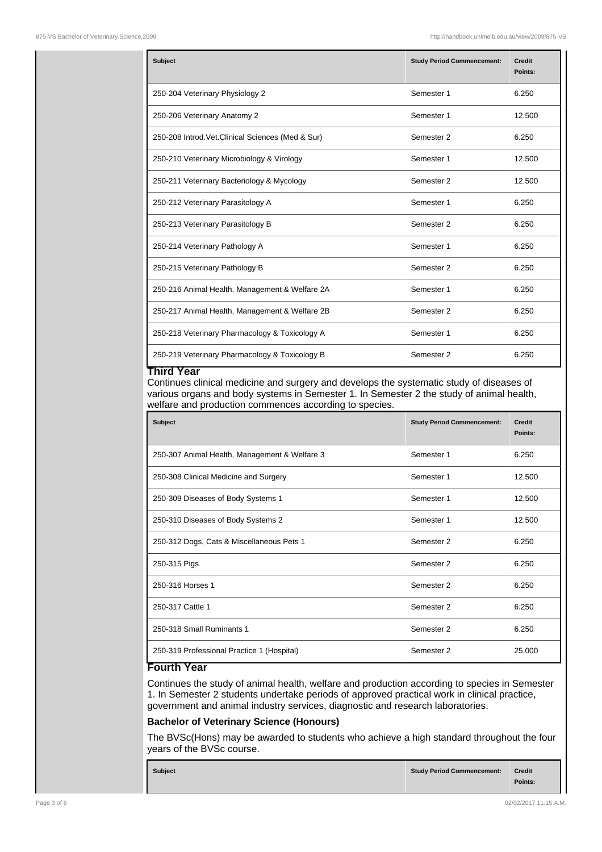| Subject                                            | <b>Study Period Commencement:</b> | <b>Credit</b><br>Points: |
|----------------------------------------------------|-----------------------------------|--------------------------|
| 250-204 Veterinary Physiology 2                    | Semester 1                        | 6.250                    |
| 250-206 Veterinary Anatomy 2                       | Semester 1                        | 12.500                   |
| 250-208 Introd. Vet. Clinical Sciences (Med & Sur) | Semester 2                        | 6.250                    |
| 250-210 Veterinary Microbiology & Virology         | Semester 1                        | 12.500                   |
| 250-211 Veterinary Bacteriology & Mycology         | Semester 2                        | 12.500                   |
| 250-212 Veterinary Parasitology A                  | Semester 1                        | 6.250                    |
| 250-213 Veterinary Parasitology B                  | Semester 2                        | 6.250                    |
| 250-214 Veterinary Pathology A                     | Semester 1                        | 6.250                    |
| 250-215 Veterinary Pathology B                     | Semester 2                        | 6.250                    |
| 250-216 Animal Health, Management & Welfare 2A     | Semester 1                        | 6.250                    |
| 250-217 Animal Health, Management & Welfare 2B     | Semester 2                        | 6.250                    |
| 250-218 Veterinary Pharmacology & Toxicology A     | Semester 1                        | 6.250                    |
| 250-219 Veterinary Pharmacology & Toxicology B     | Semester 2                        | 6.250                    |

#### **Third Year**

Continues clinical medicine and surgery and develops the systematic study of diseases of various organs and body systems in Semester 1. In Semester 2 the study of animal health, welfare and production commences according to species.

| <b>Subject</b>                                | <b>Study Period Commencement:</b> | <b>Credit</b><br>Points: |
|-----------------------------------------------|-----------------------------------|--------------------------|
| 250-307 Animal Health, Management & Welfare 3 | Semester 1                        | 6.250                    |
| 250-308 Clinical Medicine and Surgery         | Semester 1                        | 12.500                   |
| 250-309 Diseases of Body Systems 1            | Semester 1                        | 12.500                   |
| 250-310 Diseases of Body Systems 2            | Semester 1                        | 12.500                   |
| 250-312 Dogs, Cats & Miscellaneous Pets 1     | Semester 2                        | 6.250                    |
| 250-315 Pigs                                  | Semester 2                        | 6.250                    |
| 250-316 Horses 1                              | Semester 2                        | 6.250                    |
| 250-317 Cattle 1                              | Semester 2                        | 6.250                    |
| 250-318 Small Ruminants 1                     | Semester 2                        | 6.250                    |
| 250-319 Professional Practice 1 (Hospital)    | Semester 2                        | 25,000                   |

# **Fourth Year**

Continues the study of animal health, welfare and production according to species in Semester 1. In Semester 2 students undertake periods of approved practical work in clinical practice, government and animal industry services, diagnostic and research laboratories.

# **Bachelor of Veterinary Science (Honours)**

The BVSc(Hons) may be awarded to students who achieve a high standard throughout the four years of the BVSc course.

| <b>Subject</b> | Study Period Commencement: | <b>Credit</b> |
|----------------|----------------------------|---------------|
|                |                            | Points:       |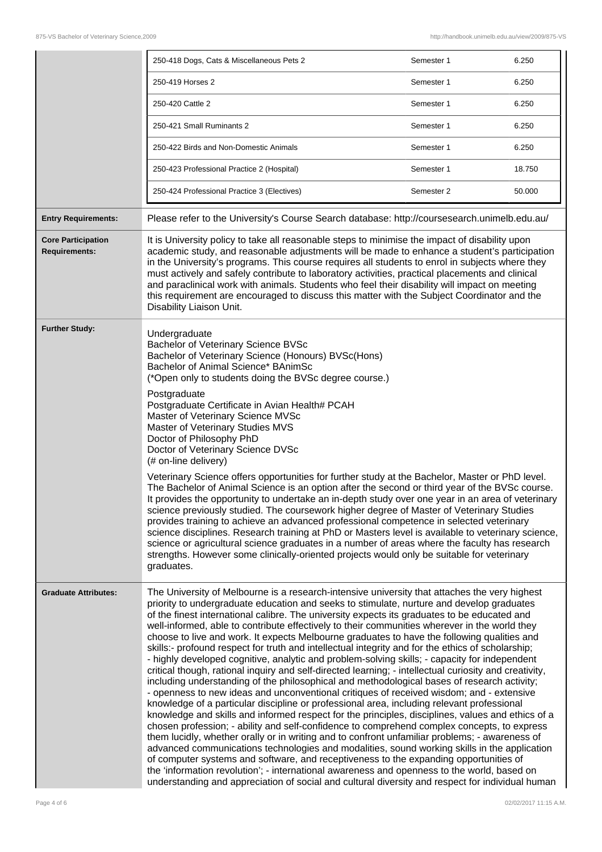|                                                   | 250-418 Dogs, Cats & Miscellaneous Pets 2                                                                                                                                                                                                                                                                                                                                                                                                                                                                                                                                                                                                                                                                                                                                                                                                                                                                                                                                                                                                                                                                                                                                                                                                                                                                                                                                                                                                                                                                                                                                                                                                                                                                                                                                                                                                                                                                         | Semester 1 | 6.250  |
|---------------------------------------------------|-------------------------------------------------------------------------------------------------------------------------------------------------------------------------------------------------------------------------------------------------------------------------------------------------------------------------------------------------------------------------------------------------------------------------------------------------------------------------------------------------------------------------------------------------------------------------------------------------------------------------------------------------------------------------------------------------------------------------------------------------------------------------------------------------------------------------------------------------------------------------------------------------------------------------------------------------------------------------------------------------------------------------------------------------------------------------------------------------------------------------------------------------------------------------------------------------------------------------------------------------------------------------------------------------------------------------------------------------------------------------------------------------------------------------------------------------------------------------------------------------------------------------------------------------------------------------------------------------------------------------------------------------------------------------------------------------------------------------------------------------------------------------------------------------------------------------------------------------------------------------------------------------------------------|------------|--------|
|                                                   | 250-419 Horses 2                                                                                                                                                                                                                                                                                                                                                                                                                                                                                                                                                                                                                                                                                                                                                                                                                                                                                                                                                                                                                                                                                                                                                                                                                                                                                                                                                                                                                                                                                                                                                                                                                                                                                                                                                                                                                                                                                                  | Semester 1 | 6.250  |
|                                                   | 250-420 Cattle 2                                                                                                                                                                                                                                                                                                                                                                                                                                                                                                                                                                                                                                                                                                                                                                                                                                                                                                                                                                                                                                                                                                                                                                                                                                                                                                                                                                                                                                                                                                                                                                                                                                                                                                                                                                                                                                                                                                  | Semester 1 | 6.250  |
|                                                   | 250-421 Small Ruminants 2                                                                                                                                                                                                                                                                                                                                                                                                                                                                                                                                                                                                                                                                                                                                                                                                                                                                                                                                                                                                                                                                                                                                                                                                                                                                                                                                                                                                                                                                                                                                                                                                                                                                                                                                                                                                                                                                                         | Semester 1 | 6.250  |
|                                                   | 250-422 Birds and Non-Domestic Animals                                                                                                                                                                                                                                                                                                                                                                                                                                                                                                                                                                                                                                                                                                                                                                                                                                                                                                                                                                                                                                                                                                                                                                                                                                                                                                                                                                                                                                                                                                                                                                                                                                                                                                                                                                                                                                                                            | Semester 1 | 6.250  |
|                                                   | 250-423 Professional Practice 2 (Hospital)                                                                                                                                                                                                                                                                                                                                                                                                                                                                                                                                                                                                                                                                                                                                                                                                                                                                                                                                                                                                                                                                                                                                                                                                                                                                                                                                                                                                                                                                                                                                                                                                                                                                                                                                                                                                                                                                        | Semester 1 | 18.750 |
|                                                   | 250-424 Professional Practice 3 (Electives)                                                                                                                                                                                                                                                                                                                                                                                                                                                                                                                                                                                                                                                                                                                                                                                                                                                                                                                                                                                                                                                                                                                                                                                                                                                                                                                                                                                                                                                                                                                                                                                                                                                                                                                                                                                                                                                                       | Semester 2 | 50.000 |
| <b>Entry Requirements:</b>                        | Please refer to the University's Course Search database: http://coursesearch.unimelb.edu.au/                                                                                                                                                                                                                                                                                                                                                                                                                                                                                                                                                                                                                                                                                                                                                                                                                                                                                                                                                                                                                                                                                                                                                                                                                                                                                                                                                                                                                                                                                                                                                                                                                                                                                                                                                                                                                      |            |        |
| <b>Core Participation</b><br><b>Requirements:</b> | It is University policy to take all reasonable steps to minimise the impact of disability upon<br>academic study, and reasonable adjustments will be made to enhance a student's participation<br>in the University's programs. This course requires all students to enrol in subjects where they<br>must actively and safely contribute to laboratory activities, practical placements and clinical<br>and paraclinical work with animals. Students who feel their disability will impact on meeting<br>this requirement are encouraged to discuss this matter with the Subject Coordinator and the<br>Disability Liaison Unit.                                                                                                                                                                                                                                                                                                                                                                                                                                                                                                                                                                                                                                                                                                                                                                                                                                                                                                                                                                                                                                                                                                                                                                                                                                                                                  |            |        |
| <b>Further Study:</b>                             | Undergraduate<br>Bachelor of Veterinary Science BVSc<br>Bachelor of Veterinary Science (Honours) BVSc(Hons)<br>Bachelor of Animal Science* BAnimSc<br>(*Open only to students doing the BVSc degree course.)<br>Postgraduate<br>Postgraduate Certificate in Avian Health# PCAH<br>Master of Veterinary Science MVSc<br>Master of Veterinary Studies MVS<br>Doctor of Philosophy PhD<br>Doctor of Veterinary Science DVSc<br>(# on-line delivery)<br>Veterinary Science offers opportunities for further study at the Bachelor, Master or PhD level.<br>The Bachelor of Animal Science is an option after the second or third year of the BVSc course.<br>It provides the opportunity to undertake an in-depth study over one year in an area of veterinary<br>science previously studied. The coursework higher degree of Master of Veterinary Studies<br>provides training to achieve an advanced professional competence in selected veterinary<br>science disciplines. Research training at PhD or Masters level is available to veterinary science,<br>science or agricultural science graduates in a number of areas where the faculty has research                                                                                                                                                                                                                                                                                                                                                                                                                                                                                                                                                                                                                                                                                                                                                          |            |        |
| <b>Graduate Attributes:</b>                       | strengths. However some clinically-oriented projects would only be suitable for veterinary<br>graduates.<br>The University of Melbourne is a research-intensive university that attaches the very highest<br>priority to undergraduate education and seeks to stimulate, nurture and develop graduates<br>of the finest international calibre. The university expects its graduates to be educated and<br>well-informed, able to contribute effectively to their communities wherever in the world they<br>choose to live and work. It expects Melbourne graduates to have the following qualities and<br>skills:- profound respect for truth and intellectual integrity and for the ethics of scholarship;<br>- highly developed cognitive, analytic and problem-solving skills; - capacity for independent<br>critical though, rational inquiry and self-directed learning; - intellectual curiosity and creativity,<br>including understanding of the philosophical and methodological bases of research activity;<br>- openness to new ideas and unconventional critiques of received wisdom; and - extensive<br>knowledge of a particular discipline or professional area, including relevant professional<br>knowledge and skills and informed respect for the principles, disciplines, values and ethics of a<br>chosen profession; - ability and self-confidence to comprehend complex concepts, to express<br>them lucidly, whether orally or in writing and to confront unfamiliar problems; - awareness of<br>advanced communications technologies and modalities, sound working skills in the application<br>of computer systems and software, and receptiveness to the expanding opportunities of<br>the 'information revolution'; - international awareness and openness to the world, based on<br>understanding and appreciation of social and cultural diversity and respect for individual human |            |        |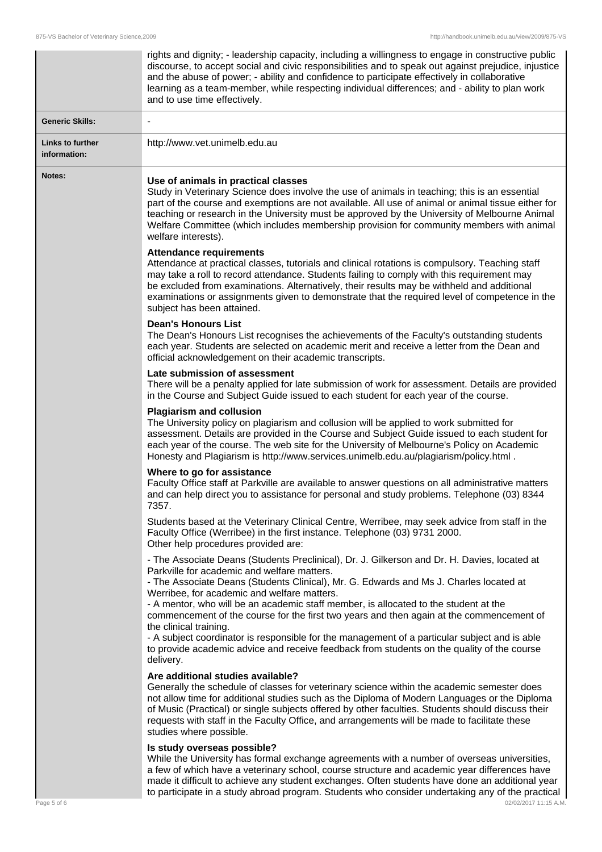|                                  | rights and dignity; - leadership capacity, including a willingness to engage in constructive public<br>discourse, to accept social and civic responsibilities and to speak out against prejudice, injustice<br>and the abuse of power; - ability and confidence to participate effectively in collaborative<br>learning as a team-member, while respecting individual differences; and - ability to plan work<br>and to use time effectively.                                                                                                                                                                                                                                                                  |
|----------------------------------|----------------------------------------------------------------------------------------------------------------------------------------------------------------------------------------------------------------------------------------------------------------------------------------------------------------------------------------------------------------------------------------------------------------------------------------------------------------------------------------------------------------------------------------------------------------------------------------------------------------------------------------------------------------------------------------------------------------|
| <b>Generic Skills:</b>           |                                                                                                                                                                                                                                                                                                                                                                                                                                                                                                                                                                                                                                                                                                                |
| Links to further<br>information: | http://www.vet.unimelb.edu.au                                                                                                                                                                                                                                                                                                                                                                                                                                                                                                                                                                                                                                                                                  |
| Notes:                           | Use of animals in practical classes<br>Study in Veterinary Science does involve the use of animals in teaching; this is an essential<br>part of the course and exemptions are not available. All use of animal or animal tissue either for<br>teaching or research in the University must be approved by the University of Melbourne Animal<br>Welfare Committee (which includes membership provision for community members with animal<br>welfare interests).                                                                                                                                                                                                                                                 |
|                                  | <b>Attendance requirements</b><br>Attendance at practical classes, tutorials and clinical rotations is compulsory. Teaching staff<br>may take a roll to record attendance. Students failing to comply with this requirement may<br>be excluded from examinations. Alternatively, their results may be withheld and additional<br>examinations or assignments given to demonstrate that the required level of competence in the<br>subject has been attained.                                                                                                                                                                                                                                                   |
|                                  | <b>Dean's Honours List</b><br>The Dean's Honours List recognises the achievements of the Faculty's outstanding students<br>each year. Students are selected on academic merit and receive a letter from the Dean and<br>official acknowledgement on their academic transcripts.                                                                                                                                                                                                                                                                                                                                                                                                                                |
|                                  | Late submission of assessment<br>There will be a penalty applied for late submission of work for assessment. Details are provided<br>in the Course and Subject Guide issued to each student for each year of the course.                                                                                                                                                                                                                                                                                                                                                                                                                                                                                       |
|                                  | <b>Plagiarism and collusion</b><br>The University policy on plagiarism and collusion will be applied to work submitted for<br>assessment. Details are provided in the Course and Subject Guide issued to each student for<br>each year of the course. The web site for the University of Melbourne's Policy on Academic<br>Honesty and Plagiarism is http://www.services.unimelb.edu.au/plagiarism/policy.html.                                                                                                                                                                                                                                                                                                |
|                                  | Where to go for assistance<br>Faculty Office staff at Parkville are available to answer questions on all administrative matters<br>and can help direct you to assistance for personal and study problems. Telephone (03) 8344<br>7357.                                                                                                                                                                                                                                                                                                                                                                                                                                                                         |
|                                  | Students based at the Veterinary Clinical Centre, Werribee, may seek advice from staff in the<br>Faculty Office (Werribee) in the first instance. Telephone (03) 9731 2000.<br>Other help procedures provided are:                                                                                                                                                                                                                                                                                                                                                                                                                                                                                             |
|                                  | - The Associate Deans (Students Preclinical), Dr. J. Gilkerson and Dr. H. Davies, located at<br>Parkville for academic and welfare matters.<br>- The Associate Deans (Students Clinical), Mr. G. Edwards and Ms J. Charles located at<br>Werribee, for academic and welfare matters.<br>- A mentor, who will be an academic staff member, is allocated to the student at the<br>commencement of the course for the first two years and then again at the commencement of<br>the clinical training.<br>- A subject coordinator is responsible for the management of a particular subject and is able<br>to provide academic advice and receive feedback from students on the quality of the course<br>delivery. |
|                                  | Are additional studies available?<br>Generally the schedule of classes for veterinary science within the academic semester does<br>not allow time for additional studies such as the Diploma of Modern Languages or the Diploma<br>of Music (Practical) or single subjects offered by other faculties. Students should discuss their<br>requests with staff in the Faculty Office, and arrangements will be made to facilitate these<br>studies where possible.                                                                                                                                                                                                                                                |
|                                  | Is study overseas possible?<br>While the University has formal exchange agreements with a number of overseas universities,<br>a few of which have a veterinary school, course structure and academic year differences have<br>made it difficult to achieve any student exchanges. Often students have done an additional year                                                                                                                                                                                                                                                                                                                                                                                  |

to participate in a study abroad program. Students who consider undertaking any of the practical